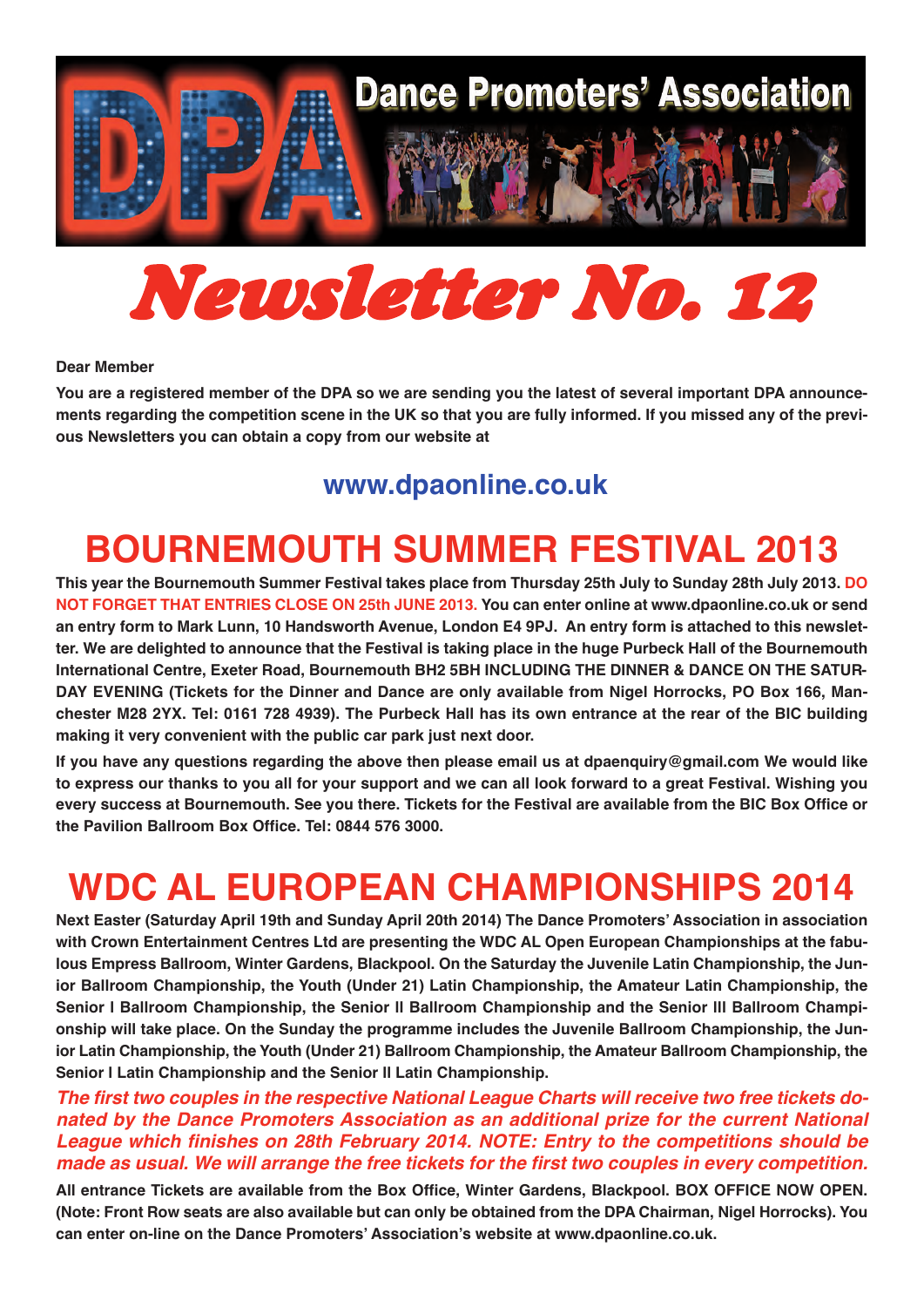

# *Newsletter No. 12*

#### **Dear Member**

**You are a registered member of the DPA so we are sending you the latest of several important DPA announcements regarding the competition scene in the UK so that you are fully informed. If you missed any of the previous Newsletters you can obtain a copy from our website at** 

### **<www.dpaonline.co.uk>**

## **BOURNEMOUTH SUMMER FESTIVAL 2013**

**This year the Bournemouth Summer Festival takes place from Thursday 25th July to Sunday 28th July 2013. DO NOT FORGET THAT ENTRIES CLOSE ON 25th JUNE 2013. You can enter online at www.dpaonline.co.uk or send an entry form to Mark Lunn, 10 Handsworth Avenue, London E4 9PJ. An entry form is attached to this newsletter. We are delighted to announce that the Festival is taking place in the huge Purbeck Hall of the Bournemouth International Centre, Exeter Road, Bournemouth BH2 5BH INCLUDING THE DINNER & DANCE ON THE SATUR-DAY EVENING (Tickets for the Dinner and Dance are only available from Nigel Horrocks, PO Box 166, Manchester M28 2YX. Tel: 0161 728 4939). The Purbeck Hall has its own entrance at the rear of the BIC building making it very convenient with the public car park just next door.** 

**If you have any questions regarding the above then please email us at dpaenquiry@gmail.com We would like to express our thanks to you all for your support and we can all look forward to a great Festival. Wishing you every success at Bournemouth. See you there. Tickets for the Festival are available from the BIC Box Office or the Pavilion Ballroom Box Office. Tel: 0844 576 3000.**

# **WDC AL EUROPEAN CHAMPIONSHIPS 2014**

**Next Easter (Saturday April 19th and Sunday April 20th 2014) The Dance Promoters' Association in association with Crown Entertainment Centres Ltd are presenting the WDC AL Open European Championships at the fabulous Empress Ballroom, Winter Gardens, Blackpool. On the Saturday the Juvenile Latin Championship, the Junior Ballroom Championship, the Youth (Under 21) Latin Championship, the Amateur Latin Championship, the Senior l Ballroom Championship, the Senior ll Ballroom Championship and the Senior lll Ballroom Championship will take place. On the Sunday the programme includes the Juvenile Ballroom Championship, the Junior Latin Championship, the Youth (Under 21) Ballroom Championship, the Amateur Ballroom Championship, the Senior l Latin Championship and the Senior ll Latin Championship.** 

*The first two couples in the respective National League Charts will receive two free tickets donated by the Dance Promoters Association as an additional prize for the current National League which finishes on 28th February 2014. NOTE: Entry to the competitions should be made as usual. We will arrange the free tickets for the first two couples in every competition.* 

**All entrance Tickets are available from the Box Office, Winter Gardens, Blackpool. BOX OFFICE NOW OPEN. (Note: Front Row seats are also available but can only be obtained from the DPA Chairman, Nigel Horrocks). You can enter on-line on the Dance Promoters' Association's website at www.dpaonline.co.uk.**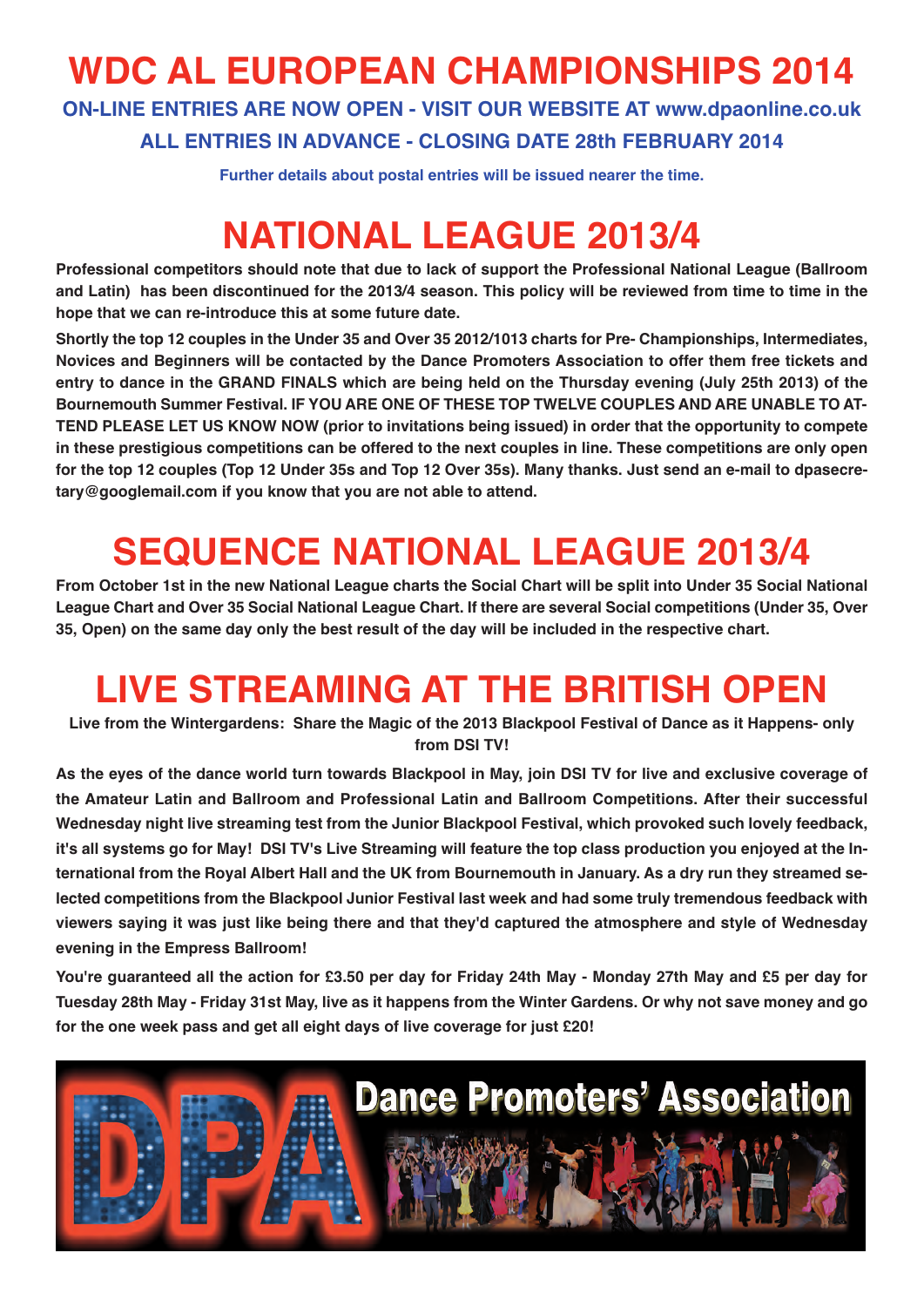# **WDC AL EUROPEAN CHAMPIONSHIPS 2014**

**ON-LINE ENTRIES ARE NOW OPEN - VISIT OUR WEBSITE AT www.dpaonline.co.uk ALL ENTRIES IN ADVANCE - CLOSING DATE 28th FEBRUARY 2014**

**Further details about postal entries will be issued nearer the time.**

## **NATIONAL LEAGUE 2013/4**

**Professional competitors should note that due to lack of support the Professional National League (Ballroom and Latin) has been discontinued for the 2013/4 season. This policy will be reviewed from time to time in the hope that we can re-introduce this at some future date.**

**Shortly the top 12 couples in the Under 35 and Over 35 2012/1013 charts for Pre- Championships, Intermediates, Novices and Beginners will be contacted by the Dance Promoters Association to offer them free tickets and entry to dance in the GRAND FINALS which are being held on the Thursday evening (July 25th 2013) of the Bournemouth Summer Festival. IF YOU ARE ONE OF THESE TOP TWELVE COUPLES AND ARE UNABLE TO AT-TEND PLEASE LET US KNOW NOW (prior to invitations being issued) in order that the opportunity to compete in these prestigious competitions can be offered to the next couples in line. These competitions are only open for the top 12 couples (Top 12 Under 35s and Top 12 Over 35s). Many thanks. Just send an e-mail to dpasecretary@googlemail.com if you know that you are not able to attend.**

# **SEQUENCE NATIONAL LEAGUE 2013/4**

**From October 1st in the new National League charts the Social Chart will be split into Under 35 Social National League Chart and Over 35 Social National League Chart. If there are several Social competitions (Under 35, Over 35, Open) on the same day only the best result of the day will be included in the respective chart.**

# **LIVE STREAMING AT THE BRITISH OPEN**

**Live from the Wintergardens: Share the Magic of the 2013 Blackpool Festival of Dance as it Happens- only from DSI TV!**

**As the eyes of the dance world turn towards Blackpool in May, join DSI TV for live and exclusive coverage of the Amateur Latin and Ballroom and Professional Latin and Ballroom Competitions. After their successful Wednesday night live streaming test from the Junior Blackpool Festival, which provoked such lovely feedback, it's all systems go for May! DSI TV's Live Streaming will feature the top class production you enjoyed at the International from the Royal Albert Hall and the UK from Bournemouth in January. As a dry run they streamed selected competitions from the Blackpool Junior Festival last week and had some truly tremendous feedback with viewers saying it was just like being there and that they'd captured the atmosphere and style of Wednesday evening in the Empress Ballroom!**

**You're guaranteed all the action for £3.50 per day for Friday 24th May - Monday 27th May and £5 per day for Tuesday 28th May - Friday 31st May, live as it happens from the Winter Gardens. Or why not save money and go for the one week pass and get all eight days of live coverage for just £20!**

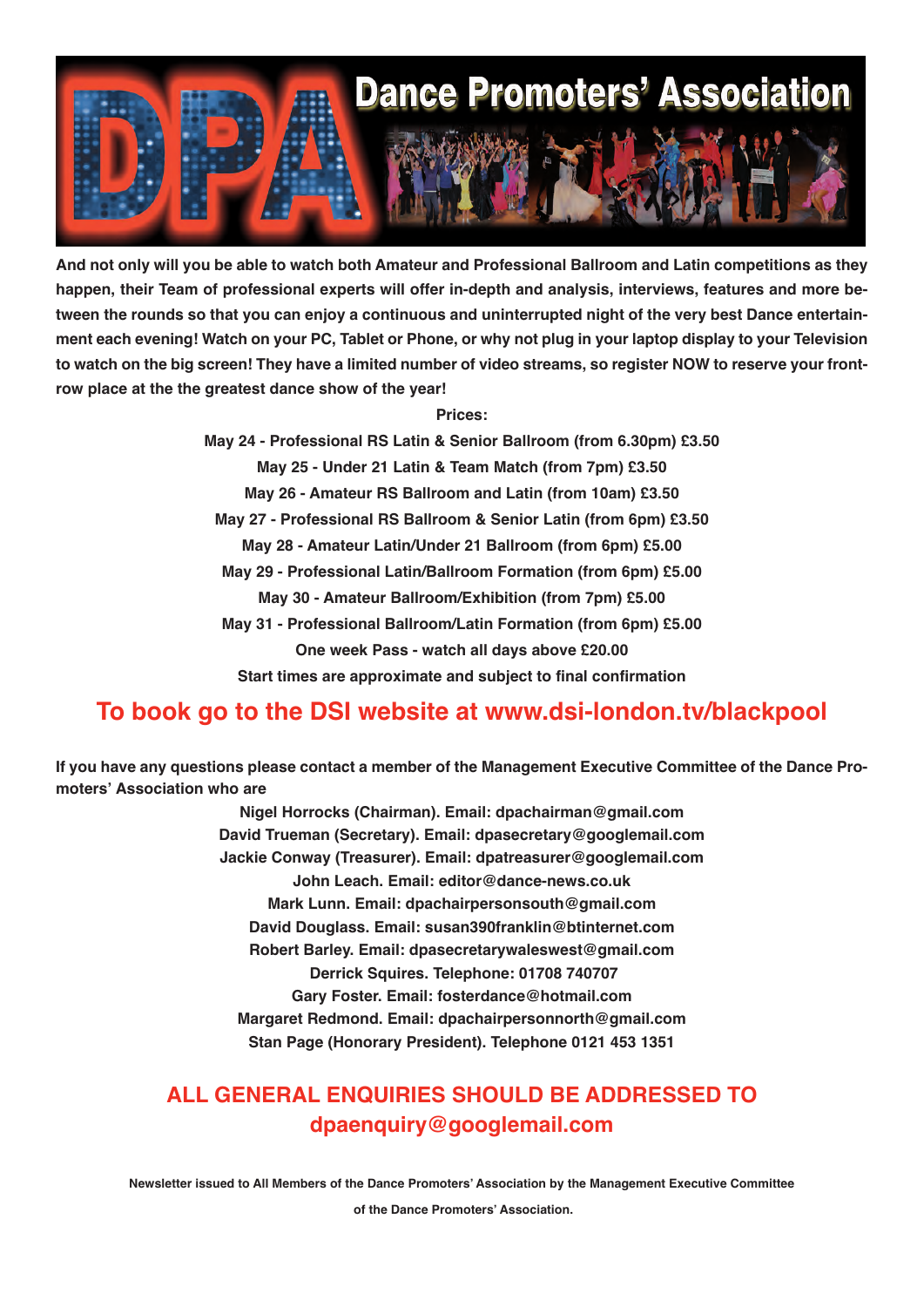

**And not only will you be able to watch both Amateur and Professional Ballroom and Latin competitions as they happen, their Team of professional experts will offer in-depth and analysis, interviews, features and more between the rounds so that you can enjoy a continuous and uninterrupted night of the very best Dance entertainment each evening! Watch on your PC, Tablet or Phone, or why not plug in your laptop display to your Television to watch on the big screen! They have a limited number of video streams, so register NOW to reserve your frontrow place at the the greatest dance show of the year!**

#### **Prices:**

**May 24 - Professional RS Latin & Senior Ballroom (from 6.30pm) £3.50 May 25 - Under 21 Latin & Team Match (from 7pm) £3.50 May 26 - Amateur RS Ballroom and Latin (from 10am) £3.50 May 27 - Professional RS Ballroom & Senior Latin (from 6pm) £3.50 May 28 - Amateur Latin/Under 21 Ballroom (from 6pm) £5.00 May 29 - Professional Latin/Ballroom Formation (from 6pm) £5.00 May 30 - Amateur Ballroom/Exhibition (from 7pm) £5.00 May 31 - Professional Ballroom/Latin Formation (from 6pm) £5.00 One week Pass - watch all days above £20.00 Start times are approximate and subject to final confirmation**

### **To book go to the DSI website at www.dsi-london.tv/blackpool**

**If you have any questions please contact a member of the Management Executive Committee of the Dance Promoters' Association who are**

> **Nigel Horrocks (Chairman). Email: dpachairman@gmail.com David Trueman (Secretary). Email: dpasecretary@googlemail.com Jackie Conway (Treasurer). Email: dpatreasurer@googlemail.com John Leach. Email: editor@dance-news.co.uk Mark Lunn. Email: dpachairpersonsouth@gmail.com David Douglass. Email: susan390franklin@btinternet.com Robert Barley. Email: dpasecretarywaleswest@gmail.com Derrick Squires. Telephone: 01708 740707 Gary Foster. Email: fosterdance@hotmail.com Margaret Redmond. Email: dpachairpersonnorth@gmail.com Stan Page (Honorary President). Telephone 0121 453 1351**

### **ALL GENERAL ENQUIRIES SHOULD BE ADDRESSED TO dpaenquiry@googlemail.com**

**Newsletter issued to All Members of the Dance Promoters' Association by the Management Executive Committee**

**of the Dance Promoters' Association.**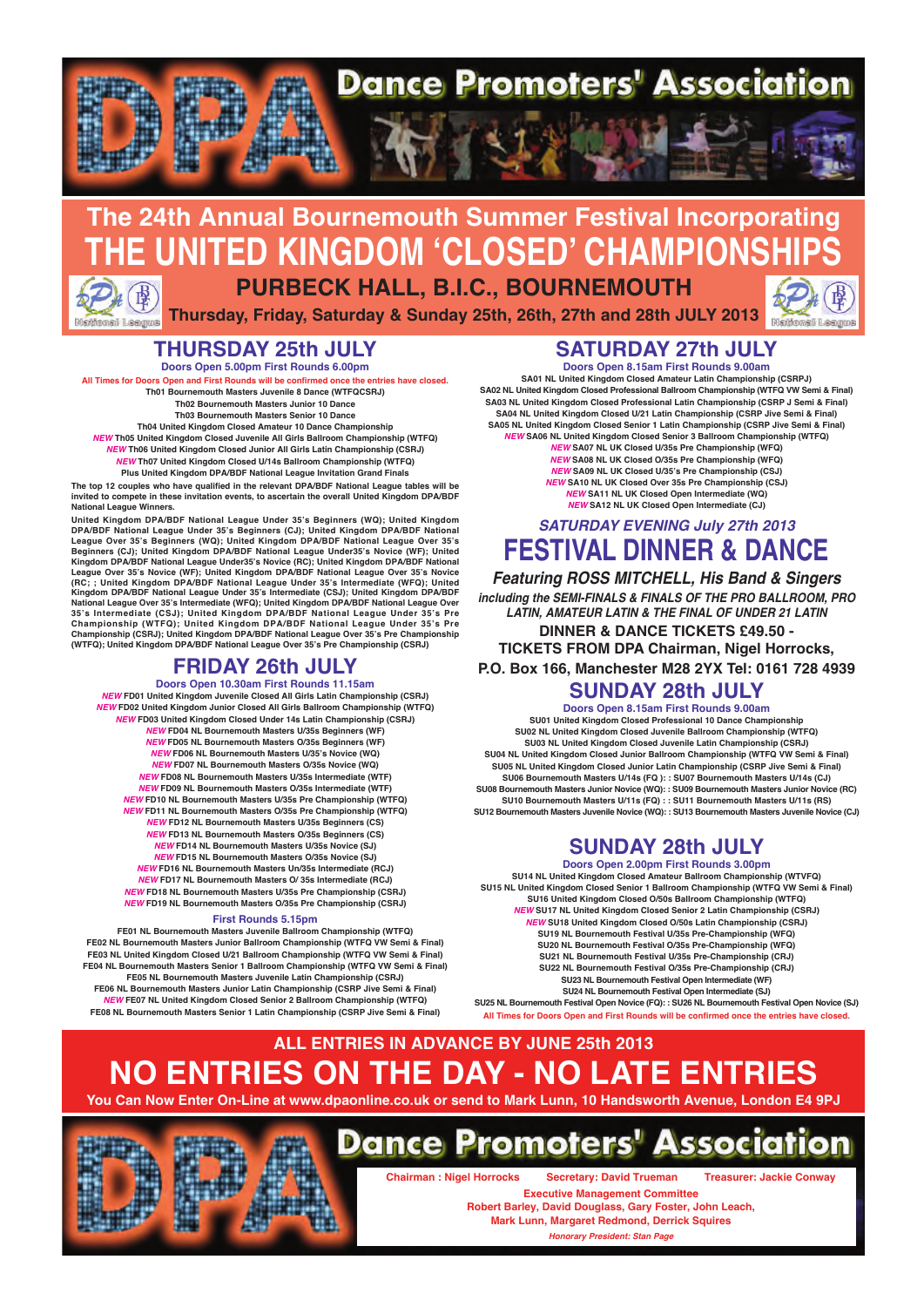

#### **The 24th Annual Bournemouth Summer Festival Incorporating E UNITED KINGDOM 'CLOSED' CHAMPIONS PURBECK HALL, B.I.C., BOURNEMOUTH Thursday, Friday, Saturday & Sunday 25th, 26th, 27th and 28th JULY 2013**.<br>I Lengus al Leag

#### **THURSDAY 25th JULY**

**Doors Open 5.00pm First Rounds 6.00pm All Times for Doors Open and First Rounds will be confirmed once the entries have closed. Th01 Bournemouth Masters Juvenile 8 Dance (WTFQCSRJ) Th02 Bournemouth Masters Junior 10 Dance Th03 Bournemouth Masters Senior 10 Dance Th04 United Kingdom Closed Amateur 10 Dance Championship NEW Th05 United Kingdom Closed Juvenile All Girls Ballroom Championship (WTFQ) NEW Th06 United Kingdom Closed Junior All Girls Latin Championship (CSRJ) NEW Th07 United Kingdom Closed U/14s Ballroom Championship (WTFQ) Plus United Kingdom DPA/BDF National League Invitation Grand Finals**

**The top 12 couples who have qualified in the relevant DPA/BDF National League tables will be invited to compete in these invitation events, to ascertain the overall United Kingdom DPA/BDF National League Winners.**

United Kingdom DPA/BDF National League Under 35's Beginners (WQ); United Kingdom<br>DPA/BDF National League Under 35's Beginners (CJ); United Kingdom DPA/BDF National<br>League Over 35's Beginners (WQ); United Kingdom DPA/BDF Na **(RC; ; United Kingdom DPA/BDF National League Under 35's Intermediate (WFQ); United Kingdom DPA/BDF National League Under 35's Intermediate (CSJ); United Kingdom DPA/BDF National League Over 35's Intermediate (WFQ); United Kingdom DPA/BDF National League Over 35's Intermediate (CSJ); United Kingdom DPA/BDF National League Under 35's Pre Championship (WTFQ); United Kingdom DPA/BDF National League Under 35's Pre Championship (CSRJ); United Kingdom DPA/BDF National League Over 35's Pre Championship (WTFQ); United Kingdom DPA/BDF National League Over 35's Pre Championship (CSRJ)**

### **FRIDAY 26th JULY**

**Doors Open 10.30am First Rounds 11.15am NEW FD01 United Kingdom Juvenile Closed All Girls Latin Championship (CSRJ) NEW FD02 United Kingdom Junior Closed All Girls Ballroom Championship (WTFQ) NEW FD03 United Kingdom Closed Under 14s Latin Championship (CSRJ) NEW FD04 NL Bournemouth Masters U/35s Beginners (WF) NEW FD05 NL Bournemouth Masters O/35s Beginners (WF) NEW FD06 NL Bournemouth Masters U/35's Novice (WQ) NEW FD07 NL Bournemouth Masters O/35s Novice (WQ) NEW FD08 NL Bournemouth Masters U/35s Intermediate (WTF) NEW FD09 NL Bournemouth Masters O/35s Intermediate (WTF) NEW FD10 NL Bournemouth Masters U/35s Pre Championship (WTFQ) NEW FD11 NL Bournemouth Masters O/35s Pre Championship (WTFQ) NEW FD12 NL Bournemouth Masters U/35s Beginners (CS) NEW FD13 NL Bournemouth Masters O/35s Beginners (CS) NEW FD14 NL Bournemouth Masters U/35s Novice (SJ) NEW FD15 NL Bournemouth Masters O/35s Novice (SJ) NEW FD16 NL Bournemouth Masters Un/35s Intermediate (RCJ) NEW FD17 NL Bournemouth Masters O/ 35s Intermediate (RCJ) NEW FD18 NL Bournemouth Masters U/35s Pre Championship (CSRJ) NEW FD19 NL Bournemouth Masters O/35s Pre Championship (CSRJ)**

#### **First Rounds 5.15pm**

**FE01 NL Bournemouth Masters Juvenile Ballroom Championship (WTFQ) FE02 NL Bournemouth Masters Junior Ballroom Championship (WTFQ VW Semi & Final) FE03 NL United Kingdom Closed U/21 Ballroom Championship (WTFQ VW Semi & Final) FE04 NL Bournemouth Masters Senior 1 Ballroom Championship (WTFQ VW Semi & Final) FE05 NL Bournemouth Masters Juvenile Latin Championship (CSRJ) FE06 NL Bournemouth Masters Junior Latin Championship (CSRP Jive Semi & Final) NEW FE07 NL United Kingdom Closed Senior 2 Ballroom Championship (WTFQ) FE08 NL Bournemouth Masters Senior 1 Latin Championship (CSRP Jive Semi & Final)**

### **SATURDAY 27th JULY**

**Doors Open 8.15am First Rounds 9.00am SA01 NL United Kingdom Closed Amateur Latin Championship (CSRPJ) SA02 NL United Kingdom Closed Professional Ballroom Championship (WTFQ VW Semi & Final) SA03 NL United Kingdom Closed Professional Latin Championship (CSRP J Semi & Final) SA04 NL United Kingdom Closed U/21 Latin Championship (CSRP Jive Semi & Final) SA05 NL United Kingdom Closed Senior 1 Latin Championship (CSRP Jive Semi & Final) NEW SA06 NL United Kingdom Closed Senior 3 Ballroom Championship (WTFQ) NEW SA07 NL UK Closed U/35s Pre Championship (WFQ) NEW SA08 NL UK Closed O/35s Pre Championship (WFQ)**

**NEW SA09 NL UK Closed U/35's Pre Championship (CSJ) NEW SA10 NL UK Closed Over 35s Pre Championship (CSJ) NEW SA11 NL UK Closed Open Intermediate (WQ) NEW SA12 NL UK Closed Open Intermediate (CJ)**

#### **SATURDAY EVENING July 27th 2013 FESTIVAL DINNER & DANCE**

**Featuring ROSS MITCHELL, His Band & Singers including the SEMI-FINALS & FINALS OF THE PRO BALLROOM, PRO LATIN, AMATEUR LATIN & THE FINAL OF UNDER 21 LATIN DINNER & DANCE TICKETS £49.50 -**

**TICKETS FROM DPA Chairman, Nigel Horrocks, P.O. Box 166, Manchester M28 2YX Tel: 0161 728 4939**

### **SUNDAY 28th JULY**

**Doors Open 8.15am First Rounds 9.00am SU01 United Kingdom Closed Professional 10 Dance Championship SU02 NL United Kingdom Closed Juvenile Ballroom Championship (WTFQ) SU03 NL United Kingdom Closed Juvenile Latin Championship (CSRJ) SU04 NL United Kingdom Closed Junior Ballroom Championship (WTFQ VW Semi & Final) SU05 NL United Kingdom Closed Junior Latin Championship (CSRP Jive Semi & Final) SU06 Bournemouth Masters U/14s (FQ ): : SU07 Bournemouth Masters U/14s (CJ) SU08 Bournemouth Masters Junior Novice (WQ): : SU09 Bournemouth Masters Junior Novice (RC) SU10 Bournemouth Masters U/11s (FQ) : : SU11 Bournemouth Masters U/11s (RS) SU12 Bournemouth Masters Juvenile Novice (WQ): : SU13 Bournemouth Masters Juvenile Novice (CJ)**

#### **SUNDAY 28th JULY**

**Doors Open 2.00pm First Rounds 3.00pm SU14 NL United Kingdom Closed Amateur Ballroom Championship (WTVFQ) SU15 NL United Kingdom Closed Senior 1 Ballroom Championship (WTFQ VW Semi & Final) SU16 United Kingdom Closed O/50s Ballroom Championship (WTFQ) NEW SU17 NL United Kingdom Closed Senior 2 Latin Championship (CSRJ) NEW SU18 United Kingdom Closed O/50s Latin Championship (CSRJ) SU19 NL Bournemouth Festival U/35s Pre-Championship (WFQ) SU20 NL Bournemouth Festival O/35s Pre-Championship (WFQ) SU21 NL Bournemouth Festival U/35s Pre-Championship (CRJ) SU22 NL Bournemouth Festival O/35s Pre-Championship (CRJ) SU23 NL Bournemouth Festival Open Intermediate (WF) SU24 NL Bournemouth Festival Open Intermediate (SJ) SU25 NL Bournemouth Festival Open Novice (FQ): : SU26 NL Bournemouth Festival Open Novice (SJ)**

**All Times for Doors Open and First Rounds will be confirmed once the entries have closed.**

### **ALL ENTRIES IN ADVANCE BY JUNE 25th 2013 NO ENTRIES ON THE DAY - NO LATE ENTRIES**

**You Can Now Enter On-Line at www.dpaonline.co.uk or send to Mark Lunn, 10 Handsworth Avenue, London E4 9PJ**



### **Dance Promoters' Association**

**Chairman : Nigel Horrocks Secretary: David Trueman Treasurer: Jackie Conway Executive Management Committee Robert Barley, David Douglass, Gary Foster, John Leach, Mark Lunn, Margaret Redmond, Derrick Squires Honorary President: Stan Page**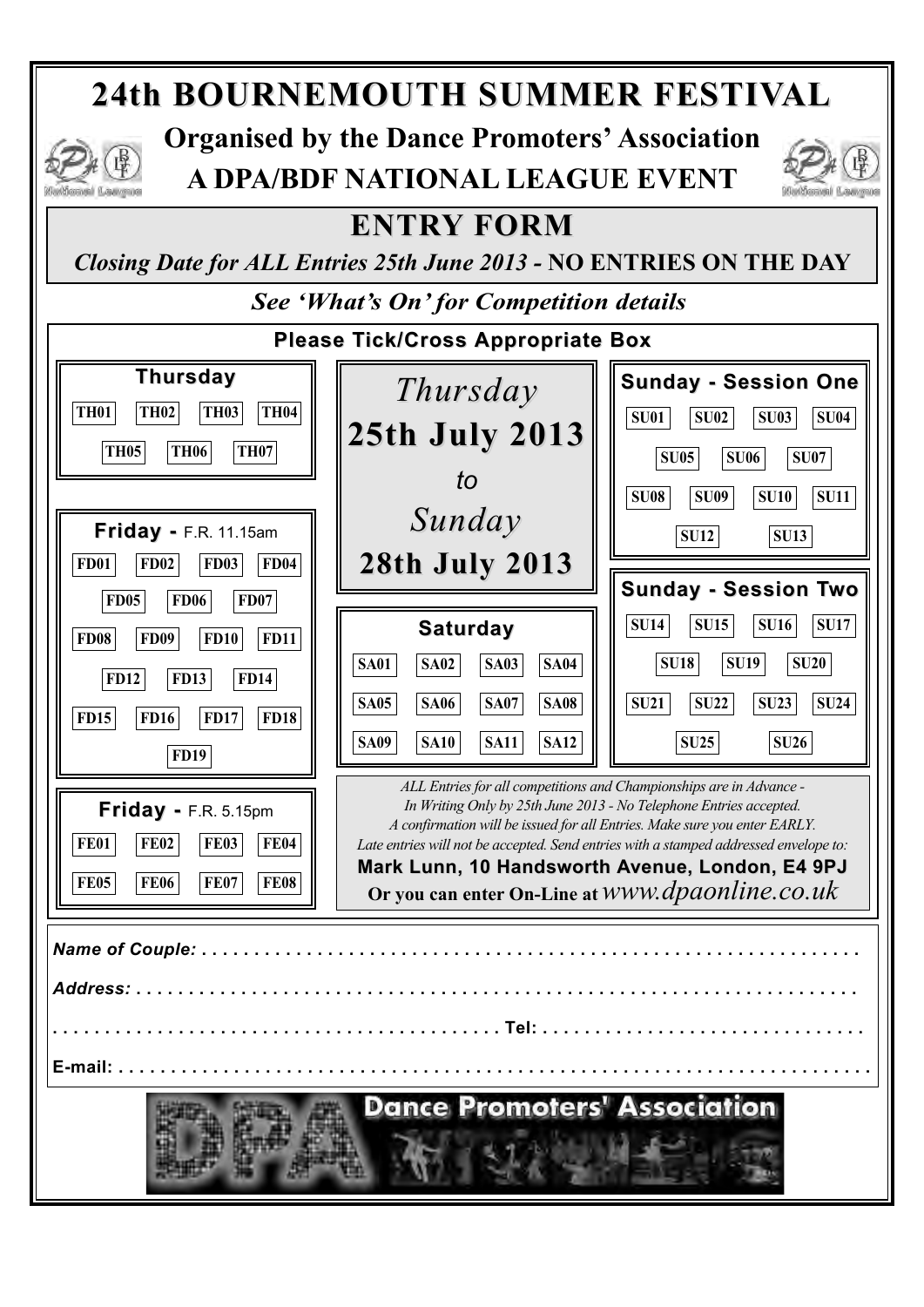